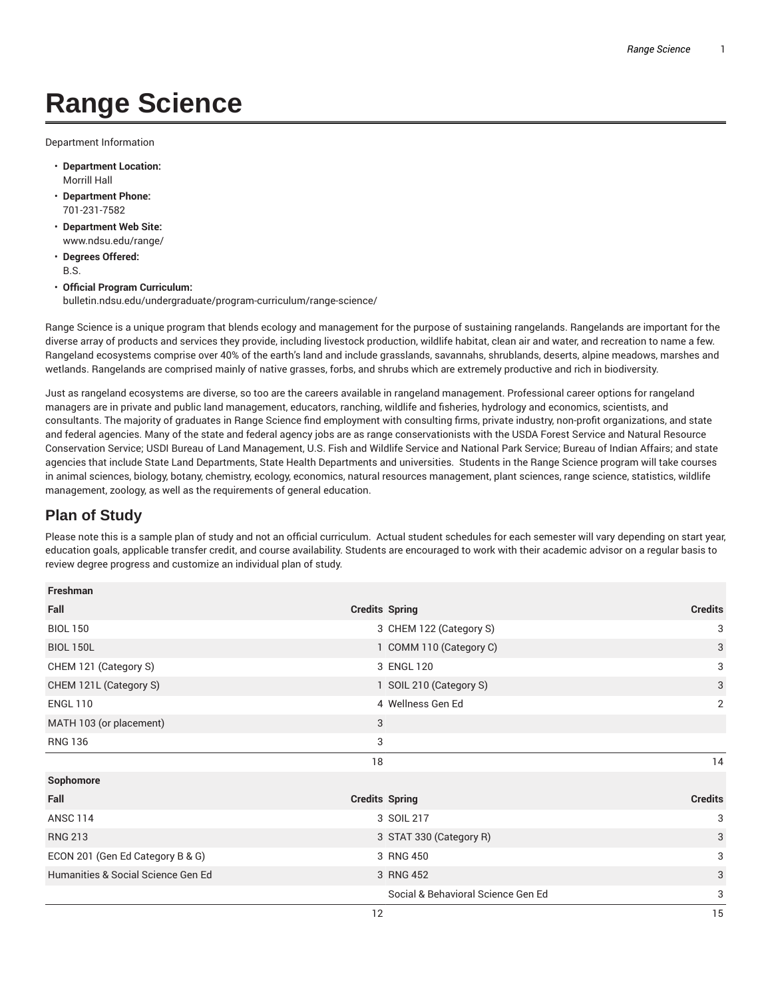## **Range Science**

Department Information

- **Department Location:** Morrill Hall
- **Department Phone:** 701-231-7582
- **Department Web Site:** www.ndsu.edu/range/
- **Degrees Offered:** B.S.
- **Official Program Curriculum:** bulletin.ndsu.edu/undergraduate/program-curriculum/range-science/

Range Science is a unique program that blends ecology and management for the purpose of sustaining rangelands. Rangelands are important for the diverse array of products and services they provide, including livestock production, wildlife habitat, clean air and water, and recreation to name a few. Rangeland ecosystems comprise over 40% of the earth's land and include grasslands, savannahs, shrublands, deserts, alpine meadows, marshes and wetlands. Rangelands are comprised mainly of native grasses, forbs, and shrubs which are extremely productive and rich in biodiversity.

Just as rangeland ecosystems are diverse, so too are the careers available in rangeland management. Professional career options for rangeland managers are in private and public land management, educators, ranching, wildlife and fisheries, hydrology and economics, scientists, and consultants. The majority of graduates in Range Science find employment with consulting firms, private industry, non-profit organizations, and state and federal agencies. Many of the state and federal agency jobs are as range conservationists with the USDA Forest Service and Natural Resource Conservation Service; USDI Bureau of Land Management, U.S. Fish and Wildlife Service and National Park Service; Bureau of Indian Affairs; and state agencies that include State Land Departments, State Health Departments and universities. Students in the Range Science program will take courses in animal sciences, biology, botany, chemistry, ecology, economics, natural resources management, plant sciences, range science, statistics, wildlife management, zoology, as well as the requirements of general education.

## **Plan of Study**

Please note this is a sample plan of study and not an official curriculum. Actual student schedules for each semester will vary depending on start year, education goals, applicable transfer credit, and course availability. Students are encouraged to work with their academic advisor on a regular basis to review degree progress and customize an individual plan of study.

| Freshman                           |                                    |                |
|------------------------------------|------------------------------------|----------------|
| <b>Credits Spring</b><br>Fall      |                                    | <b>Credits</b> |
| <b>BIOL 150</b>                    | 3 CHEM 122 (Category S)            | 3              |
| <b>BIOL 150L</b>                   | 1 COMM 110 (Category C)            | 3              |
| CHEM 121 (Category S)              | 3 ENGL 120                         | 3              |
| CHEM 121L (Category S)             | 1 SOIL 210 (Category S)            | 3              |
| <b>ENGL 110</b>                    | 4 Wellness Gen Ed                  | 2              |
| MATH 103 (or placement)            | 3                                  |                |
| <b>RNG 136</b>                     | 3                                  |                |
|                                    | 18                                 | 14             |
| Sophomore                          |                                    |                |
| Fall                               | <b>Credits Spring</b>              | <b>Credits</b> |
| <b>ANSC 114</b>                    | 3 SOIL 217                         | 3              |
| <b>RNG 213</b>                     | 3 STAT 330 (Category R)            | 3              |
| ECON 201 (Gen Ed Category B & G)   | 3 RNG 450                          | 3              |
| Humanities & Social Science Gen Ed | 3 RNG 452                          | 3              |
|                                    | Social & Behavioral Science Gen Ed | 3              |
|                                    | 12                                 | 15             |